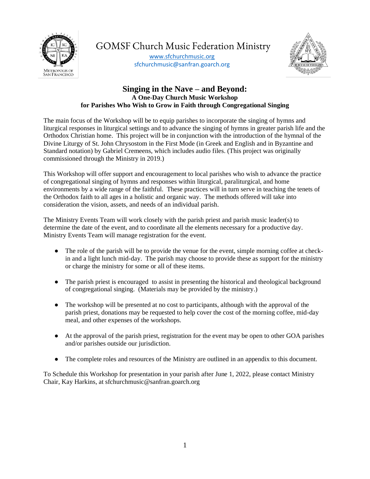

GOMSF Church Music Federation Ministry

[www.sfchurchmusic.org](http://www.sfchurchmusic.org/) sfchurchmusic@sanfran.goarch.org



# **Singing in the Nave – and Beyond: A One-Day Church Music Workshop for Parishes Who Wish to Grow in Faith through Congregational Singing**

The main focus of the Workshop will be to equip parishes to incorporate the singing of hymns and liturgical responses in liturgical settings and to advance the singing of hymns in greater parish life and the Orthodox Christian home. This project will be in conjunction with the introduction of the hymnal of the Divine Liturgy of St. John Chrysostom in the First Mode (in Greek and English and in Byzantine and Standard notation) by Gabriel Cremeens, which includes audio files. (This project was originally commissioned through the Ministry in 2019.)

This Workshop will offer support and encouragement to local parishes who wish to advance the practice of congregational singing of hymns and responses within liturgical, paraliturgical, and home environments by a wide range of the faithful. These practices will in turn serve in teaching the tenets of the Orthodox faith to all ages in a holistic and organic way. The methods offered will take into consideration the vision, assets, and needs of an individual parish.

The Ministry Events Team will work closely with the parish priest and parish music leader(s) to determine the date of the event, and to coordinate all the elements necessary for a productive day. Ministry Events Team will manage registration for the event.

- The role of the parish will be to provide the venue for the event, simple morning coffee at checkin and a light lunch mid-day. The parish may choose to provide these as support for the ministry or charge the ministry for some or all of these items.
- The parish priest is encouraged to assist in presenting the historical and theological background of congregational singing. (Materials may be provided by the ministry.)
- The workshop will be presented at no cost to participants, although with the approval of the parish priest, donations may be requested to help cover the cost of the morning coffee, mid-day meal, and other expenses of the workshops.
- At the approval of the parish priest, registration for the event may be open to other GOA parishes and/or parishes outside our jurisdiction.
- The complete roles and resources of the Ministry are outlined in an appendix to this document.

To Schedule this Workshop for presentation in your parish after June 1, 2022, please contact Ministry Chair, Kay Harkins, at sfchurchmusic@sanfran.goarch.org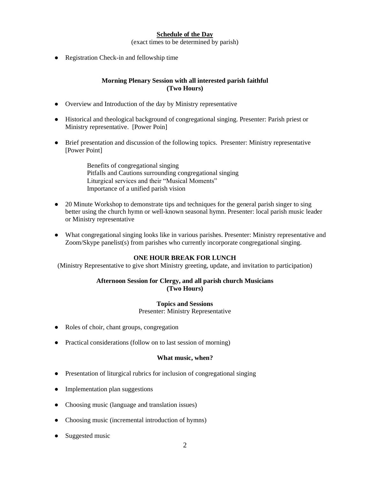## **Schedule of the Day**

(exact times to be determined by parish)

• Registration Check-in and fellowship time

### **Morning Plenary Session with all interested parish faithful (Two Hours)**

- Overview and Introduction of the day by Ministry representative
- Historical and theological background of congregational singing. Presenter: Parish priest or Ministry representative. [Power Poin]
- Brief presentation and discussion of the following topics. Presenter: Ministry representative [Power Point]

Benefits of congregational singing Pitfalls and Cautions surrounding congregational singing Liturgical services and their "Musical Moments" Importance of a unified parish vision

- 20 Minute Workshop to demonstrate tips and techniques for the general parish singer to sing better using the church hymn or well-known seasonal hymn. Presenter: local parish music leader or Ministry representative
- What congregational singing looks like in various parishes. Presenter: Ministry representative and Zoom/Skype panelist(s) from parishes who currently incorporate congregational singing.

## **ONE HOUR BREAK FOR LUNCH**

(Ministry Representative to give short Ministry greeting, update, and invitation to participation)

#### **Afternoon Session for Clergy, and all parish church Musicians (Two Hours)**

#### **Topics and Sessions**

Presenter: Ministry Representative

- Roles of choir, chant groups, congregation
- Practical considerations (follow on to last session of morning)

#### **What music, when?**

- Presentation of liturgical rubrics for inclusion of congregational singing
- Implementation plan suggestions
- Choosing music (language and translation issues)
- Choosing music (incremental introduction of hymns)
- Suggested music